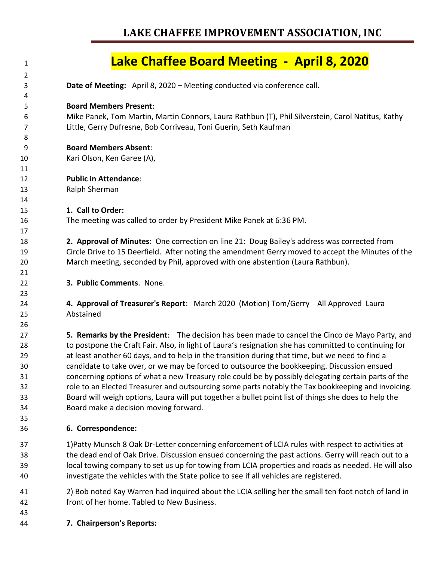## **LAKE CHAFFEE IMPROVEMENT ASSOCIATION, INC**

## **Lake Chaffee Board Meeting - April 8, 2020**

- **Date of Meeting:** April 8, 2020 – Meeting conducted via conference call. **Board Members Present**: Mike Panek, Tom Martin, Martin Connors, Laura Rathbun (T), Phil Silverstein, Carol Natitus, Kathy Little, Gerry Dufresne, Bob Corriveau, Toni Guerin, Seth Kaufman **Board Members Absent**: Kari Olson, Ken Garee (A), **Public in Attendance**: Ralph Sherman **1. Call to Order:** The meeting was called to order by President Mike Panek at 6:36 PM. **2. Approval of Minutes**: One correction on line 21: Doug Bailey's address was corrected from Circle Drive to 15 Deerfield. After noting the amendment Gerry moved to accept the Minutes of the March meeting, seconded by Phil, approved with one abstention (Laura Rathbun). **3. Public Comments**. None. **4. Approval of Treasurer's Report**: March 2020 (Motion) Tom/Gerry All Approved Laura Abstained **5. Remarks by the President**: The decision has been made to cancel the Cinco de Mayo Party, and to postpone the Craft Fair. Also, in light of Laura's resignation she has committed to continuing for at least another 60 days, and to help in the transition during that time, but we need to find a candidate to take over, or we may be forced to outsource the bookkeeping. Discussion ensued concerning options of what a new Treasury role could be by possibly delegating certain parts of the role to an Elected Treasurer and outsourcing some parts notably the Tax bookkeeping and invoicing. Board will weigh options, Laura will put together a bullet point list of things she does to help the Board make a decision moving forward. **6. Correspondence:** 1)Patty Munsch 8 Oak Dr-Letter concerning enforcement of LCIA rules with respect to activities at
- the dead end of Oak Drive. Discussion ensued concerning the past actions. Gerry will reach out to a local towing company to set us up for towing from LCIA properties and roads as needed. He will also investigate the vehicles with the State police to see if all vehicles are registered.
- 2) Bob noted Kay Warren had inquired about the LCIA selling her the small ten foot notch of land in front of her home. Tabled to New Business.
- **7. Chairperson's Reports:**